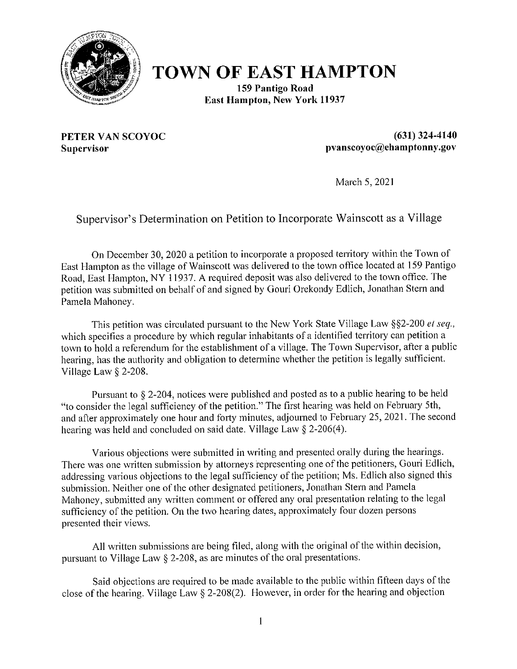

# **TOWN OF EAST HAMPTON**

159 Pantigo Road **East Hampton, New York 11937** 

PETER VAN SCOYOC Supervisor

 $(631)$  324-4140 pvanscoyoc@ehamptonny.gov

March 5, 2021

#### Supervisor's Determination on Petition to Incorporate Wainscott as a Village

On December 30, 2020 a petition to incorporate a proposed territory within the Town of East Hampton as the village of Wainscott was delivered to the town office located at 159 Pantigo Road, East Hampton, NY 11937. A required deposit was also delivered to the town office. The petition was submitted on behalf of and signed by Gouri Orekondy Edlich, Jonathan Stern and Pamela Mahoney.

This petition was circulated pursuant to the New York State Village Law §§2-200 et seq., which specifies a procedure by which regular inhabitants of a identified territory can petition a town to hold a referendum for the establishment of a village. The Town Supervisor, after a public hearing, has the authority and obligation to determine whether the petition is legally sufficient. Village Law  $\S$  2-208.

Pursuant to § 2-204, notices were published and posted as to a public hearing to be held "to consider the legal sufficiency of the petition." The first hearing was held on February 5th, and after approximately one hour and forty minutes, adjourned to February 25, 2021. The second hearing was held and concluded on said date. Village Law  $\S$  2-206(4).

Various objections were submitted in writing and presented orally during the hearings. There was one written submission by attorneys representing one of the petitioners, Gouri Edlich, addressing various objections to the legal sufficiency of the petition; Ms. Edlich also signed this submission. Neither one of the other designated petitioners, Jonathan Stern and Pamela Mahoney, submitted any written comment or offered any oral presentation relating to the legal sufficiency of the petition. On the two hearing dates, approximately four dozen persons presented their views.

All written submissions are being filed, along with the original of the within decision, pursuant to Village Law § 2-208, as are minutes of the oral presentations.

Said objections are required to be made available to the public within fifteen days of the close of the hearing. Village Law  $\S$  2-208(2). However, in order for the hearing and objection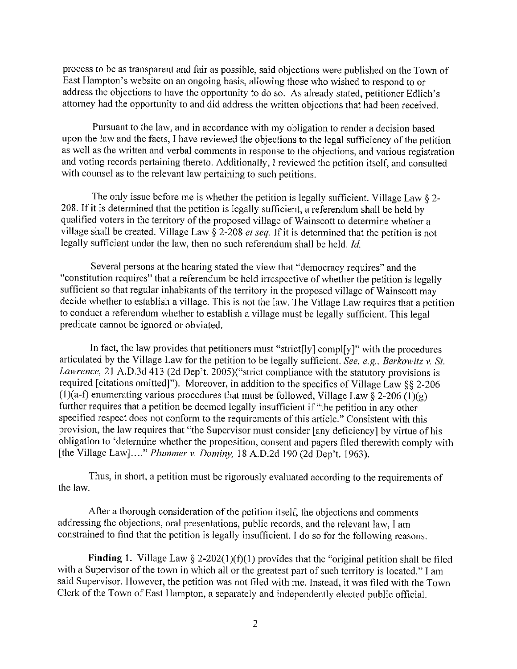process to be as transparent and fair as possible, said objections were published on the Town of East Hampton's website on an ongoing basis, allowing those who wished to respond to or address the objections to have the opportunity to do so. As already stated, petitioner Edlich's attorney had the opportunity to and did address the written objections that had been received.

Pursuant to the law, and in accordance with my obligation to render a decision based upon the law and the facts, I have reviewed the objections to the legal sufficiency of the petition as well as the written and verbal comments in response to the objections, and various registration and voting records pertaining thereto. Additionally, I reviewed the petition itself, and consulted with counsel as to the relevant law pertaining to such petitions.

The only issue before me is whether the petition is legally sufficient. Village Law  $\S$  2-208. If it is determined that the petition is legally sufficient, a referendum shall be held by qualified voters in the territory of the proposed village of Wainscott to determine whether a village shall be created. Village Law  $\hat{\S}$  2-208 *et seq*. If it is determined that the petition is not legally sufficient under the law, then no such referendum shall be held. Id.

Several persons at the hearing stated the view that "democracy requires" and the "constitution requires" that a referendum be held irrespective of whether the petition is legally sufficient so that regular inhabitants of the territory in the proposed village of Wainscott may decide whether to establish a village. This is not the law. The Village Law requires that a petition to conduct a referendum whether to establish a village must be legally sufficient. This legal predicate cannot be ignored or obviated.

In fact, the law provides that petitioners must "strict[ly] compl[y]" with the procedures articulated by the Village Law for the petition to be legally sufficient. See, e.g., Berkowitz v. St. *Lawrence*, 21 A.D.3d 413 (2d Dep't. 2005)("strict compliance with the statutory provisions is required [citations omitted]"). Moreover, in addition to the specifics of Village Law §§ 2-206 (1)(a-f) enumerating various procedures that must be followed, Village Law § 2-206 (1)(g) further requires that a petition be deemed legally insufficient if "the petition in any other specified respect does not conform to the requirements of this article." Consistent with this provision, the law requires that "the Supervisor must consider [any deficiency] by virtue of his obligation to 'determine whether the proposition, consent and papers filed therewith comply with [the Village Law]...." Plummer v. Dominy, 18 A.D.2d 190 (2d Dep't. 1963).

Thus, in short, a petition must be rigorously evaluated according to the requirements of the law.

After a thorough consideration of the petition itself, the objections and comments addressing the objections, oral presentations, public records, and the relevant law, I am constrained to find that the petition is legally insufficient. I do so for the following reasons.

Finding 1. Village Law  $\S 2-202(1)(f)(1)$  provides that the "original petition shall be filed with a Supervisor of the town in which all or the greatest part of such territory is located." I am said Supervisor. However, the petition was not filed with me. Instead, it was filed with the Town Clerk of the Town of East Hampton, a separately and independently elected public official.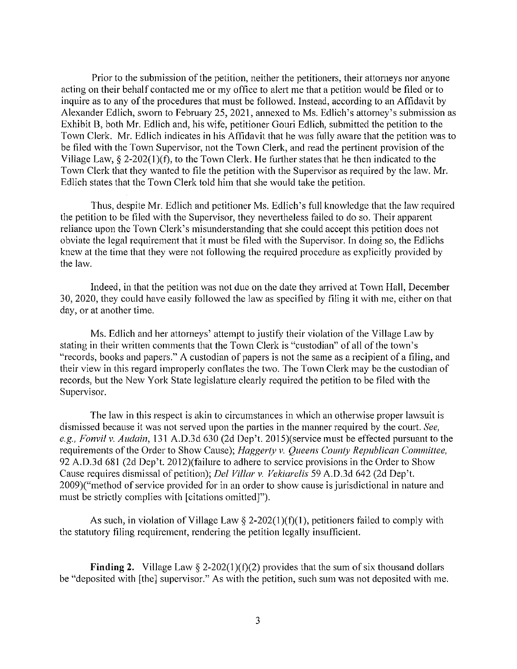Prior to the submission of the petition, neither the petitioners, their attorneys nor anyone acting on their behalf contacted me or my office to alert me that a petition would be filed or to inquire as to any of the procedures that must be followed. Instead, according to an Affidavit by Alexander Edlich, sworn to February 25, 2021, annexed to Ms. Edlich's attorney's submission as Exhibit B, both Mr. Edlich and, his wife, petitioner Gouri Edlich, submitted the petition to the Town Clerk. Mr. Edlich indicates in his Affidavit that he was fully aware that the petition was to be filed with the Town Supervisor, not the Town Clerk, and read the pertinent provision of the Village Law,  $\S$  2-202(1)(f), to the Town Clerk. He further states that he then indicated to the Town Clerk that they wanted to file the petition with the Supervisor as required by the law. Mr. Edlich states that the Town Clerk told him that she would take the petition.

Thus, despite Mr. Edlich and petitioner Ms. Edlich's full knowledge that the law required the petition to be filed with the Supervisor, they nevertheless failed to do so. Their apparent reliance upon the Town Clerk's misunderstanding that she could accept this petition does not obviate the legal requirement that it must be filed with the Supervisor. In doing so, the Edlichs knew at the time that they were not following the required procedure as explicitly provided by the law.

Indeed, in that the petition was not due on the date they arrived at Town Hall, December 30, 2020, they could have easily followed the law as specified by filing it with me, either on that day, or at another time.

Ms. Edlich and her attorneys' attempt to justify their violation of the Village Law by stating in their written comments that the Town Clerk is "custodian" of all of the town's "records, books and papers." A custodian of papers is not the same as a recipient of a filing, and their view in this regard improperly conflates the two. The Town Clerk may be the custodian of records, but the New York State legislature clearly required the petition to be filed with the Supervisor.

The law in this respect is a kin to circumstances in which an otherwise proper lawsuit is dismissed because it was not served upon the parties in the manner required by the court. See, e.g., Fonvil v. Audain, 131 A.D.3d 630 (2d Dep't. 2015)(service must be effected pursuant to the requirements of the Order to Show Cause); Haggerty v. Queens County Republican Committee, 92 A.D.3d 681 (2d Dep't. 2012)(failure to adhere to service provisions in the Order to Show Cause requires dismissal of petition); *Del Villar v. Vekiarelis* 59 A.D.3d 642 (2d Dep't. 2009)("method of service provided for in an order to show cause is jurisdictional in nature and must be strictly complies with [citations omitted]").

As such, in violation of Village Law  $\S$  2-202(1)(f)(1), petitioners failed to comply with the statutory filing requirement, rendering the petition legally insufficient.

**Finding 2.** Village Law § 2-202(1)(f)(2) provides that the sum of six thousand dollars be "deposited with [the] supervisor." As with the petition, such sum was not deposited with me.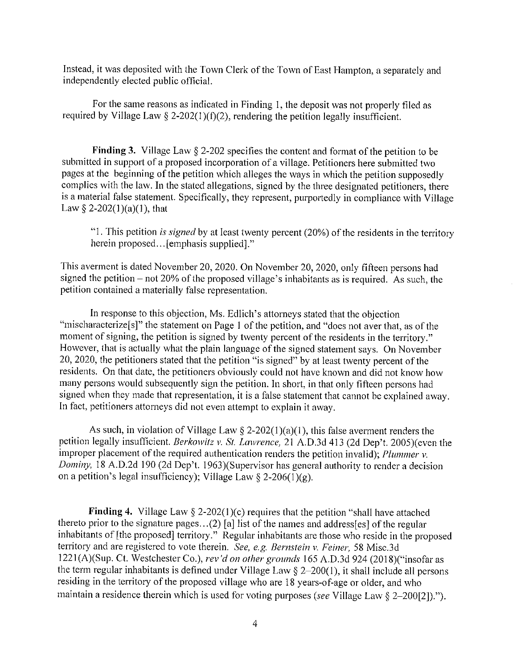Instead, it was deposited with the Town Clerk of the Town of East Hampton, a separately and independently elected public official.

For the same reasons as indicated in Finding 1, the deposit was not properly filed as required by Village Law § 2-202(1)(f)(2), rendering the petition legally insufficient.

**Finding 3.** Village Law  $\S$  2-202 specifies the content and format of the petition to be submitted in support of a proposed incorporation of a village. Petitioners here submitted two pages at the beginning of the petition which alleges the ways in which the petition supposedly complies with the law. In the stated allegations, signed by the three designated petitioners, there is a material false statement. Specifically, they represent, purportedly in compliance with Village Law § 2-202(1)(a)(1), that

"1. This petition is signed by at least twenty percent  $(20%)$  of the residents in the territory herein proposed... [emphasis supplied]."

This averment is dated November 20, 2020. On November 20, 2020, only fifteen persons had signed the petition – not 20% of the proposed village's inhabitants as is required. As such, the petition contained a materially false representation.

In response to this objection, Ms. Edlich's attorneys stated that the objection "mischaracterize<sup>[s]"</sup> the statement on Page 1 of the petition, and "does not aver that, as of the moment of signing, the petition is signed by twenty percent of the residents in the territory." However, that is actually what the plain language of the signed statement says. On November 20, 2020, the petitioners stated that the petition "is signed" by at least twenty percent of the residents. On that date, the petitioners obviously could not have known and did not know how many persons would subsequently sign the petition. In short, in that only fifteen persons had signed when they made that representation, it is a false statement that cannot be explained away. In fact, petitioners attorneys did not even attempt to explain it away.

As such, in violation of Village Law  $\S$  2-202(1)(a)(1), this false averment renders the petition legally insufficient. Berkowitz v. St. Lawrence, 21 A.D.3d 413 (2d Dep't. 2005) (even the improper placement of the required authentication renders the petition invalid); Plummer v. Dominy, 18 A.D.2d 190 (2d Dep't. 1963)(Supervisor has general authority to render a decision on a petition's legal insufficiency); Village Law  $\S$  2-206(1)(g).

Finding 4. Village Law  $\S$  2-202(1)(c) requires that the petition "shall have attached thereto prior to the signature pages...(2) [a] list of the names and address[es] of the regular inhabitants of [the proposed] territory." Regular inhabitants are those who reside in the proposed territory and are registered to vote therein. See, e.g. Bernstein v. Feiner, 58 Misc.3d 1221(A)(Sup. Ct. Westchester Co.), rev'd on other grounds 165 A.D.3d 924 (2018)("insofar as the term regular inhabitants is defined under Village Law  $\S 2-200(1)$ , it shall include all persons residing in the territory of the proposed village who are 18 years-of-age or older, and who maintain a residence therein which is used for voting purposes (see Village Law  $\S$  2-200[2]).").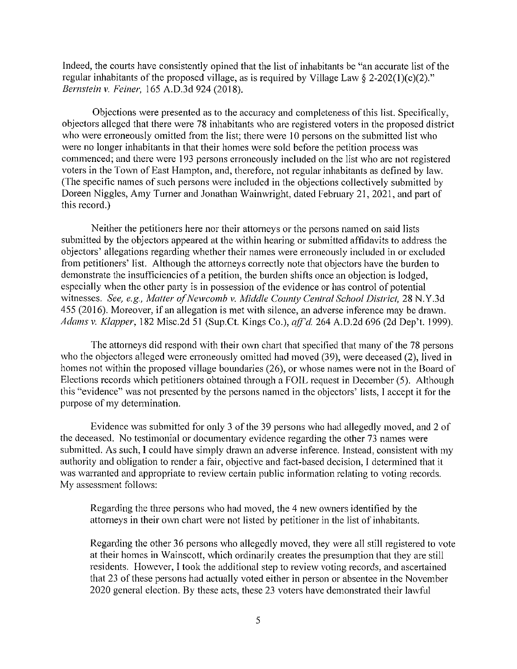Indeed, the courts have consistently opined that the list of inhabitants be "an accurate list of the regular inhabitants of the proposed village, as is required by Village Law  $\S 2-202(1)(c)(2)$ ." Bernstein v. Feiner, 165 A.D.3d 924 (2018).

Objections were presented as to the accuracy and completeness of this list. Specifically, objectors alleged that there were 78 inhabitants who are registered voters in the proposed district who were erroneously omitted from the list; there were 10 persons on the submitted list who were no longer inhabitants in that their homes were sold before the petition process was commenced; and there were 193 persons erroneously included on the list who are not registered voters in the Town of East Hampton, and, therefore, not regular inhabitants as defined by law. (The specific names of such persons were included in the objections collectively submitted by Doreen Niggles, Amy Turner and Jonathan Wainwright, dated February 21, 2021, and part of this record.)

Neither the petitioners here nor their attorneys or the persons named on said lists submitted by the objectors appeared at the within hearing or submitted affidavits to address the objectors' allegations regarding whether their names were erroneously included in or excluded from petitioners' list. Although the attorneys correctly note that objectors have the burden to demonstrate the insufficiencies of a petition, the burden shifts once an objection is lodged, especially when the other party is in possession of the evidence or has control of potential witnesses. See, e.g., Matter of Newcomb v. Middle County Central School District, 28 N.Y.3d 455 (2016). Moreover, if an allegation is met with silence, an adverse inference may be drawn. Adams v. Klapper, 182 Misc.2d 51 (Sup.Ct. Kings Co.), aff'd. 264 A.D.2d 696 (2d Dep't. 1999).

The attorneys did respond with their own chart that specified that many of the 78 persons who the objectors alleged were erroneously omitted had moved (39), were deceased (2), lived in homes not within the proposed village boundaries (26), or whose names were not in the Board of Elections records which petitioners obtained through a FOIL request in December (5). Although this "evidence" was not presented by the persons named in the objectors' lists, I accept it for the purpose of my determination.

Evidence was submitted for only 3 of the 39 persons who had allegedly moved, and 2 of the deceased. No testimonial or documentary evidence regarding the other 73 names were submitted. As such, I could have simply drawn an adverse inference. Instead, consistent with my authority and obligation to render a fair, objective and fact-based decision, I determined that it was warranted and appropriate to review certain public information relating to voting records. My assessment follows:

Regarding the three persons who had moved, the 4 new owners identified by the attorneys in their own chart were not listed by petitioner in the list of inhabitants.

Regarding the other 36 persons who allegedly moved, they were all still registered to vote at their homes in Wainscott, which ordinarily creates the presumption that they are still residents. However, I took the additional step to review voting records, and ascertained that 23 of these persons had actually voted either in person or absentee in the November 2020 general election. By these acts, these 23 voters have demonstrated their lawful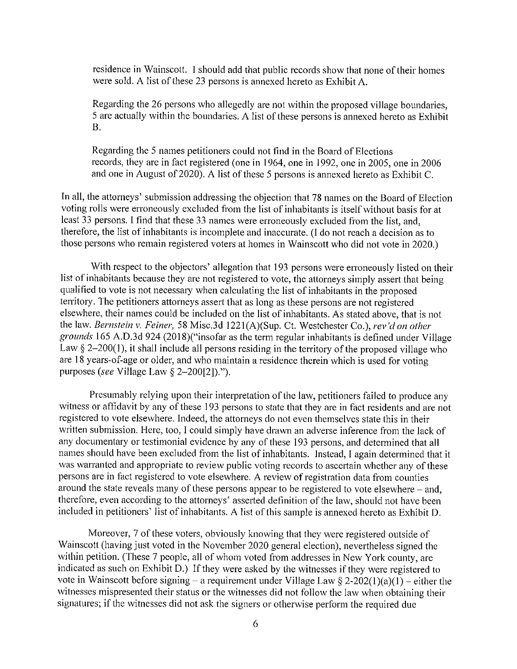residence in Wainscott. I should add that public records show that none of their homes were sold. A list of these 23 persons is annexed hereto as Exhibit A.

Regarding the 26 persons who allegedly are not within the proposed village boundaries. 5 are actually within the boundaries. A list of these persons is annexed hereto as Exhibit  $\bf{B}$ .

Regarding the 5 names petitioners could not find in the Board of Elections records, they are in fact registered (one in 1964, one in 1992, one in 2005, one in 2006 and one in August of 2020). A list of these 5 persons is annexed hereto as Exhibit C.

In all, the attorneys' submission addressing the objection that 78 names on the Board of Election voting rolls were erroneously excluded from the list of inhabitants is itself without basis for at least 33 persons. I find that these 33 names were erroneously excluded from the list, and, therefore, the list of inhabitants is incomplete and inaccurate. (I do not reach a decision as to those persons who remain registered voters at homes in Wainscott who did not vote in 2020.)

With respect to the objectors' allegation that 193 persons were erroneously listed on their list of inhabitants because they are not registered to vote, the attorneys simply assert that being qualified to vote is not necessary when calculating the list of inhabitants in the proposed territory. The petitioners attorneys assert that as long as these persons are not registered elsewhere, their names could be included on the list of inhabitants. As stated above, that is not the law. Bernstein v. Feiner, 58 Misc.3d 1221(A)(Sup. Ct. Westchester Co.), rev'd on other grounds 165 A.D.3d 924 (2018)("insofar as the term regular inhabitants is defined under Village Law  $\S$  2-200(1), it shall include all persons residing in the territory of the proposed village who are 18 years-of-age or older, and who maintain a residence therein which is used for voting purposes (see Village Law  $\S$  2-200[2]).").

Presumably relying upon their interpretation of the law, petitioners failed to produce any witness or affidavit by any of these 193 persons to state that they are in fact residents and are not registered to vote elsewhere. Indeed, the attorneys do not even themselves state this in their written submission. Here, too, I could simply have drawn an adverse inference from the lack of any documentary or testimonial evidence by any of these 193 persons, and determined that all names should have been excluded from the list of inhabitants. Instead, I again determined that it was warranted and appropriate to review public voting records to ascertain whether any of these persons are in fact registered to vote elsewhere. A review of registration data from counties around the state reveals many of these persons appear to be registered to vote elsewhere – and, therefore, even according to the attorneys' asserted definition of the law, should not have been included in petitioners' list of inhabitants. A list of this sample is annexed hereto as Exhibit D.

Moreover, 7 of these voters, obviously knowing that they were registered outside of Wainscott (having just voted in the November 2020 general election), nevertheless signed the within petition. (These 7 people, all of whom voted from addresses in New York county, are indicated as such on Exhibit D.) If they were asked by the witnesses if they were registered to vote in Wainscott before signing – a requirement under Village Law § 2-202(1)(a)(1) – either the witnesses mispresented their status or the witnesses did not follow the law when obtaining their signatures; if the witnesses did not ask the signers or otherwise perform the required due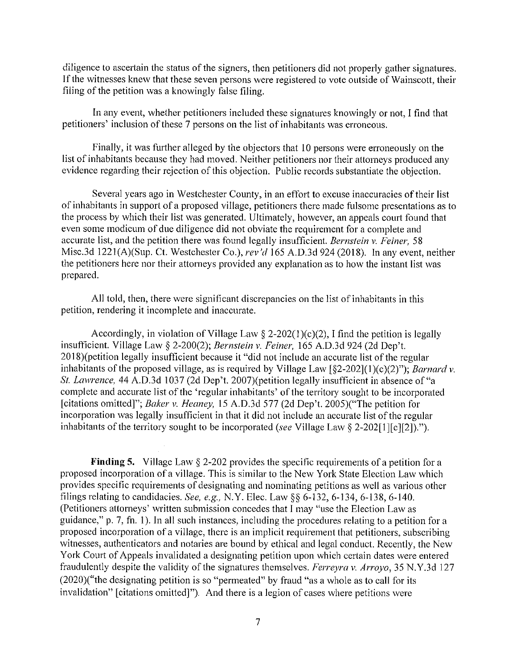diligence to ascertain the status of the signers, then petitioners did not properly gather signatures. If the witnesses knew that these seven persons were registered to vote outside of Wainscott, their filing of the petition was a knowingly false filing.

In any event, whether petitioners included these signatures knowingly or not, I find that petitioners' inclusion of these 7 persons on the list of inhabitants was erroneous.

Finally, it was further alleged by the objectors that 10 persons were erroneously on the list of inhabitants because they had moved. Neither petitioners nor their attorneys produced any evidence regarding their rejection of this objection. Public records substantiate the objection.

Several years ago in Westchester County, in an effort to excuse inaccuracies of their list of inhabitants in support of a proposed village, petitioners there made fulsome presentations as to the process by which their list was generated. Ultimately, however, an appeals court found that even some modicum of due diligence did not obviate the requirement for a complete and accurate list, and the petition there was found legally insufficient. Bernstein v. Feiner, 58 Misc.3d 1221(A)(Sup. Ct. Westchester Co.), rev'd 165 A.D.3d 924 (2018). In any event, neither the petitioners here nor their attorneys provided any explanation as to how the instant list was prepared.

All told, then, there were significant discrepancies on the list of inhabitants in this petition, rendering it incomplete and inaccurate.

Accordingly, in violation of Village Law  $\S$  2-202(1)(c)(2), I find the petition is legally insufficient. Village Law § 2-200(2); Bernstein v. Feiner, 165 A.D.3d 924 (2d Dep't. 2018)(petition legally insufficient because it "did not include an accurate list of the regular inhabitants of the proposed village, as is required by Village Law [§2-202](1)(c)(2)"); Barnard v. St. Lawrence, 44 A.D.3d 1037 (2d Dep't. 2007) (petition legally insufficient in absence of "a complete and accurate list of the 'regular inhabitants' of the territory sought to be incorporated [citations omitted]"; Baker v. Heaney, 15 A.D.3d 577 (2d Dep't. 2005)("The petition for incorporation was legally insufficient in that it did not include an accurate list of the regular inhabitants of the territory sought to be incorporated (see Village Law § 2-202[1][c][2]).").

**Finding 5.** Village Law  $\S$  2-202 provides the specific requirements of a petition for a proposed incorporation of a village. This is similar to the New York State Election Law which provides specific requirements of designating and nominating petitions as well as various other filings relating to candidacies. See, e.g., N.Y. Elec. Law §§ 6-132, 6-134, 6-138, 6-140. (Petitioners attorneys' written submission concedes that I may "use the Election Law as guidance," p. 7, fn. 1). In all such instances, including the procedures relating to a petition for a proposed incorporation of a village, there is an implicit requirement that petitioners, subscribing witnesses, authenticators and notaries are bound by ethical and legal conduct. Recently, the New York Court of Appeals invalidated a designating petition upon which certain dates were entered fraudulently despite the validity of the signatures themselves. Ferreyra v. Arroyo, 35 N.Y.3d 127 (2020)("the designating petition is so "permeated" by fraud "as a whole as to call for its invalidation" [citations omitted]"). And there is a legion of cases where petitions were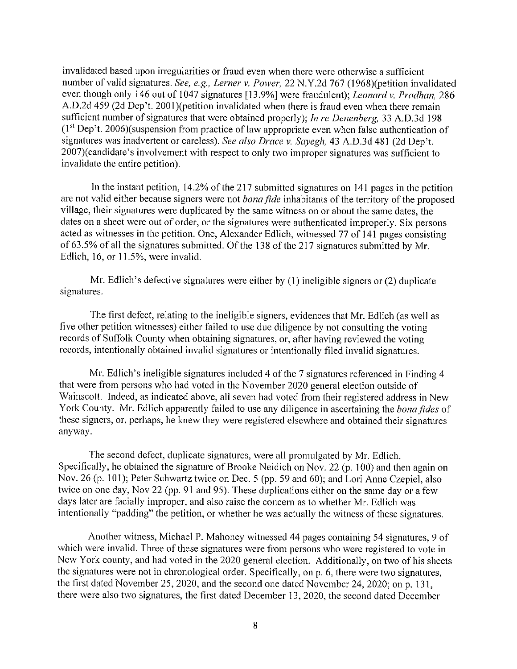invalidated based upon irregularities or fraud even when there were otherwise a sufficient number of valid signatures. See, e.g., Lerner v. Power, 22 N.Y.2d 767 (1968)(petition invalidated even though only 146 out of 1047 signatures [13.9%] were fraudulent); Leonard v. Pradhan, 286 A.D.2d 459 (2d Dep't. 2001) (petition invalidated when there is fraud even when there remain sufficient number of signatures that were obtained properly); In re Denenberg, 33 A.D.3d 198 (1<sup>st</sup> Dep't. 2006)(suspension from practice of law appropriate even when false authentication of signatures was inadvertent or careless). See also Drace v. Sayegh, 43 A.D.3d 481 (2d Dep't. 2007)(candidate's involvement with respect to only two improper signatures was sufficient to invalidate the entire petition).

In the instant petition, 14.2% of the 217 submitted signatures on 141 pages in the petition are not valid either because signers were not *bona fide* inhabitants of the territory of the proposed village, their signatures were duplicated by the same witness on or about the same dates, the dates on a sheet were out of order, or the signatures were authenticated improperly. Six persons acted as witnesses in the petition. One, Alexander Edlich, witnessed 77 of 141 pages consisting of 63.5% of all the signatures submitted. Of the 138 of the 217 signatures submitted by Mr. Edlich, 16, or 11.5%, were invalid.

Mr. Edlich's defective signatures were either by  $(1)$  ineligible signers or  $(2)$  duplicate signatures.

The first defect, relating to the ineligible signers, evidences that Mr. Edlich (as well as five other petition witnesses) either failed to use due diligence by not consulting the voting records of Suffolk County when obtaining signatures, or, after having reviewed the voting records, intentionally obtained invalid signatures or intentionally filed invalid signatures.

Mr. Edlich's ineligible signatures included 4 of the 7 signatures referenced in Finding 4 that were from persons who had voted in the November 2020 general election outside of Wainscott. Indeed, as indicated above, all seven had voted from their registered address in New York County. Mr. Edlich apparently failed to use any diligence in ascertaining the bona fides of these signers, or, perhaps, he knew they were registered elsewhere and obtained their signatures anyway.

The second defect, duplicate signatures, were all promulgated by Mr. Edlich. Specifically, he obtained the signature of Brooke Neidich on Nov. 22 (p. 100) and then again on Nov. 26 (p. 101); Peter Schwartz twice on Dec. 5 (pp. 59 and 60); and Lori Anne Czepiel, also twice on one day, Nov 22 (pp. 91 and 95). These duplications either on the same day or a few days later are facially improper, and also raise the concern as to whether Mr. Edlich was intentionally "padding" the petition, or whether he was actually the witness of these signatures.

Another witness, Michael P. Mahoney witnessed 44 pages containing 54 signatures, 9 of which were invalid. Three of these signatures were from persons who were registered to vote in New York county, and had voted in the 2020 general election. Additionally, on two of his sheets the signatures were not in chronological order. Specifically, on p. 6, there were two signatures, the first dated November 25, 2020, and the second one dated November 24, 2020; on p. 131, there were also two signatures, the first dated December 13, 2020, the second dated December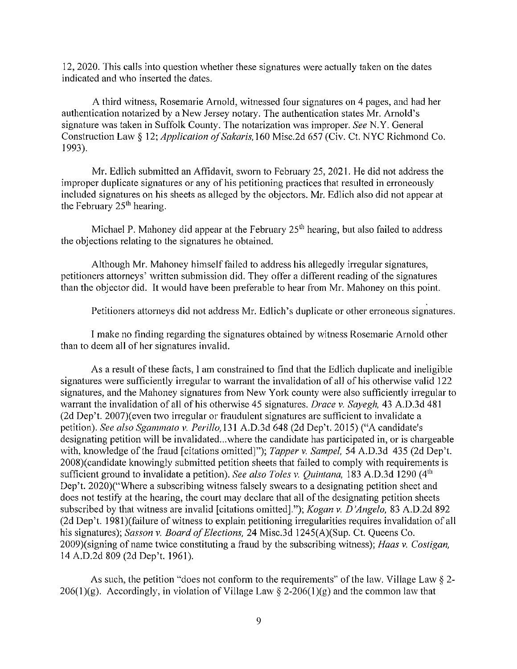12, 2020. This calls into question whether these signatures were actually taken on the dates indicated and who inserted the dates.

A third witness, Rosemarie Arnold, witnessed four signatures on 4 pages, and had her authentication notarized by a New Jersey notary. The authentication states Mr. Arnold's signature was taken in Suffolk County. The notarization was improper. See N.Y. General Construction Law § 12; *Application of Sakaris*, 160 Misc.2d 657 (Civ. Ct. NYC Richmond Co. 1993).

Mr. Edlich submitted an Affidavit, sworn to February 25, 2021. He did not address the improper duplicate signatures or any of his petitioning practices that resulted in erroneously included signatures on his sheets as alleged by the objectors. Mr. Edlich also did not appear at the February  $25<sup>th</sup>$  hearing.

Michael P. Mahoney did appear at the February  $25<sup>th</sup>$  hearing, but also failed to address the objections relating to the signatures he obtained.

Although Mr. Mahoney himself failed to address his allegedly irregular signatures, petitioners attorneys' written submission did. They offer a different reading of the signatures than the objector did. It would have been preferable to hear from Mr. Mahoney on this point.

Petitioners attorneys did not address Mr. Edlich's duplicate or other erroneous signatures.

I make no finding regarding the signatures obtained by witness Rosemarie Arnold other than to deem all of her signatures invalid.

As a result of these facts, I am constrained to find that the Edlich duplicate and ineligible signatures were sufficiently irregular to warrant the invalidation of all of his otherwise valid 122 signatures, and the Mahoney signatures from New York county were also sufficiently irregular to warrant the invalidation of all of his otherwise 45 signatures. Drace v. Sayegh, 43 A.D.3d 481 (2d Dep't. 2007) (even two irregular or fraudulent signatures are sufficient to invalidate a petition). See also Sgammato v. Perillo, 131 A.D.3d 648 (2d Dep't. 2015) ("A candidate's designating petition will be invalidated...where the candidate has participated in, or is chargeable with, knowledge of the fraud [citations omitted]"); Tapper v. Sampel, 54 A.D.3d 435 (2d Dep't. 2008) (candidate knowingly submitted petition sheets that failed to comply with requirements is sufficient ground to invalidate a petition). See also Toles v. Quintana, 183 A.D.3d 1290 (4<sup>th</sup>) Dep't. 2020)("Where a subscribing witness falsely swears to a designating petition sheet and does not testify at the hearing, the court may declare that all of the designating petition sheets subscribed by that witness are invalid [citations omitted]."); Kogan v. D'Angelo, 83 A.D.2d 892 (2d Dep't. 1981) (failure of witness to explain petitioning irregularities requires invalidation of all his signatures); Sasson v. Board of Elections, 24 Misc.3d 1245(A)(Sup. Ct. Queens Co. 2009)(signing of name twice constituting a fraud by the subscribing witness); Haas v. Costigan, 14 A.D.2d 809 (2d Dep't. 1961).

As such, the petition "does not conform to the requirements" of the law. Village Law  $\S$  2-206(1)(g). Accordingly, in violation of Village Law § 2-206(1)(g) and the common law that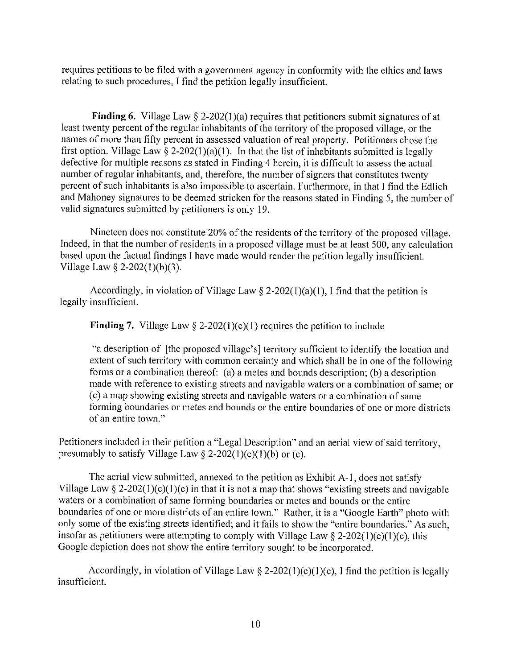requires petitions to be filed with a government agency in conformity with the ethics and laws relating to such procedures, I find the petition legally insufficient.

**Finding 6.** Village Law  $\S$  2-202(1)(a) requires that petitioners submit signatures of at least twenty percent of the regular inhabitants of the territory of the proposed village, or the names of more than fifty percent in assessed valuation of real property. Petitioners chose the first option. Village Law § 2-202(1)(a)(1). In that the list of inhabitants submitted is legally defective for multiple reasons as stated in Finding 4 herein, it is difficult to assess the actual number of regular inhabitants, and, therefore, the number of signers that constitutes twenty percent of such inhabitants is also impossible to ascertain. Furthermore, in that I find the Edlich and Mahoney signatures to be deemed stricken for the reasons stated in Finding 5, the number of valid signatures submitted by petitioners is only 19.

Nineteen does not constitute 20% of the residents of the territory of the proposed village. Indeed, in that the number of residents in a proposed village must be at least 500, any calculation based upon the factual findings I have made would render the petition legally insufficient. Village Law  $\S$  2-202(1)(b)(3).

Accordingly, in violation of Village Law  $\S 2-202(1)(a)(1)$ , I find that the petition is legally insufficient.

**Finding 7.** Village Law § 2-202(1)(c)(1) requires the petition to include

"a description of [the proposed village's] territory sufficient to identify the location and extent of such territory with common certainty and which shall be in one of the following forms or a combination thereof: (a) a metes and bounds description; (b) a description made with reference to existing streets and navigable waters or a combination of same; or (c) a map showing existing streets and navigable waters or a combination of same forming boundaries or metes and bounds or the entire boundaries of one or more districts of an entire town."

Petitioners included in their petition a "Legal Description" and an aerial view of said territory, presumably to satisfy Village Law  $\S$  2-202(1)(c)(1)(b) or (c).

The aerial view submitted, annexed to the petition as Exhibit A-1, does not satisfy Village Law  $\S 2-202(1)(c)(1)(c)$  in that it is not a map that shows "existing streets and navigable waters or a combination of same forming boundaries or metes and bounds or the entire boundaries of one or more districts of an entire town." Rather, it is a "Google Earth" photo with only some of the existing streets identified; and it fails to show the "entire boundaries." As such, insofar as petitioners were attempting to comply with Village Law  $\S$  2-202(1)(c)(1)(c), this Google depiction does not show the entire territory sought to be incorporated.

Accordingly, in violation of Village Law  $\S$  2-202(1)(c)(1)(c), I find the petition is legally insufficient.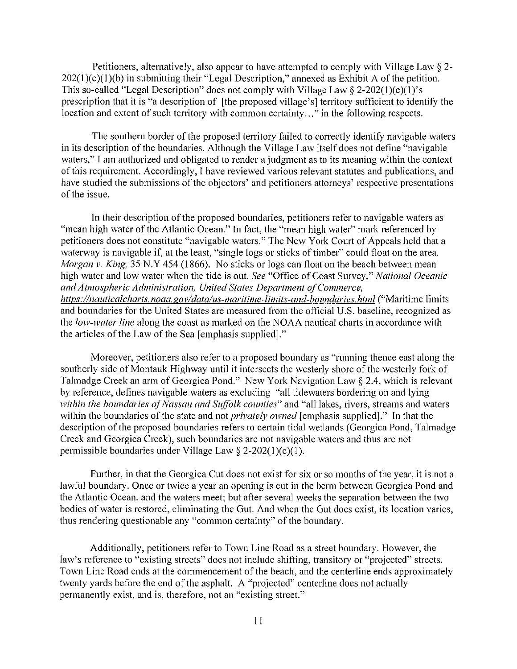Petitioners, alternatively, also appear to have attempted to comply with Village Law § 2- $202(1)(c)(1)(b)$  in submitting their "Legal Description," annexed as Exhibit A of the petition. This so-called "Legal Description" does not comply with Village Law § 2-202(1)(c)(1)'s prescription that it is "a description of [the proposed village's] territory sufficient to identify the location and extent of such territory with common certainty..." in the following respects.

The southern border of the proposed territory failed to correctly identify navigable waters in its description of the boundaries. Although the Village Law itself does not define "navigable" waters," I am authorized and obligated to render a judgment as to its meaning within the context of this requirement. Accordingly, I have reviewed various relevant statutes and publications, and have studied the submissions of the objectors' and petitioners attorneys' respective presentations of the issue.

In their description of the proposed boundaries, petitioners refer to navigable waters as "mean high water of the Atlantic Ocean." In fact, the "mean high water" mark referenced by petitioners does not constitute "navigable waters." The New York Court of Appeals held that a waterway is navigable if, at the least, "single logs or sticks of timber" could float on the area. Morgan v. King, 35 N.Y 454 (1866). No sticks or logs can float on the beach between mean high water and low water when the tide is out. See "Office of Coast Survey," National Oceanic and Atmospheric Administration, United States Department of Commerce, https://nauticalcharts.noaa.gov/data/us-maritime-limits-and-boundaries.html ("Maritime limits and boundaries for the United States are measured from the official U.S. baseline, recognized as the low-water line along the coast as marked on the NOAA nautical charts in accordance with the articles of the Law of the Sea [emphasis supplied]."

Moreover, petitioners also refer to a proposed boundary as "running thence east along the southerly side of Montauk Highway until it intersects the westerly shore of the westerly fork of Talmadge Creek an arm of Georgica Pond." New York Navigation Law § 2.4, which is relevant by reference, defines navigable waters as excluding "all tidewaters bordering on and lying within the boundaries of Nassau and Suffolk counties" and "all lakes, rivers, streams and waters within the boundaries of the state and not *privately owned* [emphasis supplied]." In that the description of the proposed boundaries refers to certain tidal wetlands (Georgica Pond, Talmadge Creek and Georgica Creek), such boundaries are not navigable waters and thus are not permissible boundaries under Village Law  $\S$  2-202(1)(c)(1).

Further, in that the Georgica Cut does not exist for six or so months of the year, it is not a lawful boundary. Once or twice a year an opening is cut in the berm between Georgica Pond and the Atlantic Ocean, and the waters meet; but after several weeks the separation between the two bodies of water is restored, eliminating the Gut. And when the Gut does exist, its location varies, thus rendering questionable any "common certainty" of the boundary.

Additionally, petitioners refer to Town Line Road as a street boundary. However, the law's reference to "existing streets" does not include shifting, transitory or "projected" streets. Town Line Road ends at the commencement of the beach, and the centerline ends approximately twenty yards before the end of the asphalt. A "projected" centerline does not actually permanently exist, and is, therefore, not an "existing street."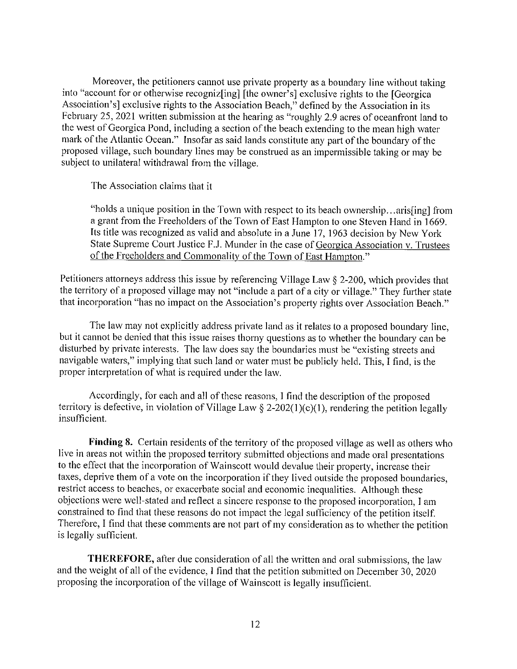Moreover, the petitioners cannot use private property as a boundary line without taking into "account for or otherwise recognizoing] [the owner's] exclusive rights to the [Georgica] Association's] exclusive rights to the Association Beach," defined by the Association in its February 25, 2021 written submission at the hearing as "roughly 2.9 acres of oceanfront land to the west of Georgica Pond, including a section of the beach extending to the mean high water mark of the Atlantic Ocean." Insofar as said lands constitute any part of the boundary of the proposed village, such boundary lines may be construed as an impermissible taking or may be subject to unilateral withdrawal from the village.

The Association claims that it

"holds a unique position in the Town with respect to its beach ownership...aris [ing] from a grant from the Freeholders of the Town of East Hampton to one Steven Hand in 1669. Its title was recognized as valid and absolute in a June 17, 1963 decision by New York State Supreme Court Justice F.J. Munder in the case of Georgica Association v. Trustees of the Freeholders and Commonality of the Town of East Hampton."

Petitioners attorneys address this issue by referencing Village Law § 2-200, which provides that the territory of a proposed village may not "include a part of a city or village." They further state that incorporation "has no impact on the Association's property rights over Association Beach."

The law may not explicitly address private land as it relates to a proposed boundary line, but it cannot be denied that this issue raises thorny questions as to whether the boundary can be disturbed by private interests. The law does say the boundaries must be "existing streets and navigable waters," implying that such land or water must be publicly held. This, I find, is the proper interpretation of what is required under the law.

Accordingly, for each and all of these reasons, I find the description of the proposed territory is defective, in violation of Village Law  $\S$  2-202(1)(c)(1), rendering the petition legally insufficient.

Finding 8. Certain residents of the territory of the proposed village as well as others who live in areas not within the proposed territory submitted objections and made oral presentations to the effect that the incorporation of Wainscott would devalue their property, increase their taxes, deprive them of a vote on the incorporation if they lived outside the proposed boundaries, restrict access to beaches, or exacerbate social and economic inequalities. Although these objections were well-stated and reflect a sincere response to the proposed incorporation, I am constrained to find that these reasons do not impact the legal sufficiency of the petition itself. Therefore, I find that these comments are not part of my consideration as to whether the petition is legally sufficient.

**THEREFORE,** after due consideration of all the written and oral submissions, the law and the weight of all of the evidence, I find that the petition submitted on December 30, 2020 proposing the incorporation of the village of Wainscott is legally insufficient.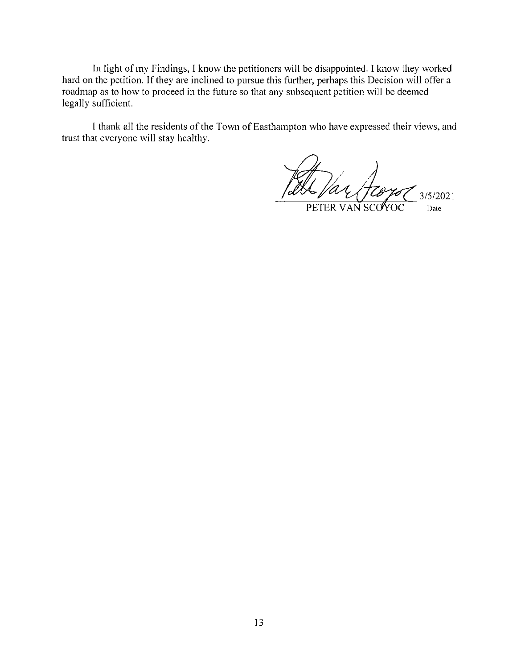In light of my Findings, I know the petitioners will be disappointed. I know they worked hard on the petition. If they are inclined to pursue this further, perhaps this Decision will offer a roadmap as to how to proceed in the future so that any subsequent petition will be deemed legally sufficient.

I thank all the residents of the Town of Easthampton who have expressed their views, and trust that everyone will stay healthy.

'ar  $3/5/2021$ PETER VAN SCOYOC Date

13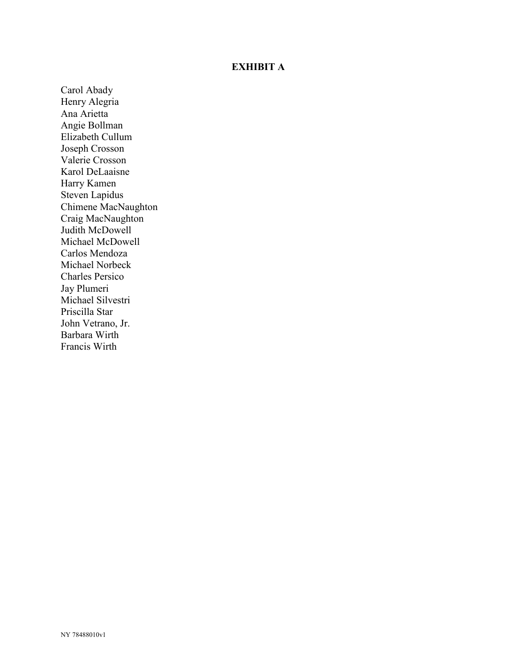#### **EXHIBIT A**

Carol Abady Henry Alegria Ana Arietta Angie Bollman Elizabeth Cullum Joseph Crosson Valerie Crosson Karol DeLaaisne Harry Kamen Steven Lapidus Chimene MacNaughton Craig MacNaughton Judith McDowell Michael McDowell Carlos Mendoza Michael Norbeck Charles Persico Jay Plumeri Michael Silvestri Priscilla Star John Vetrano, Jr. Barbara Wirth Francis Wirth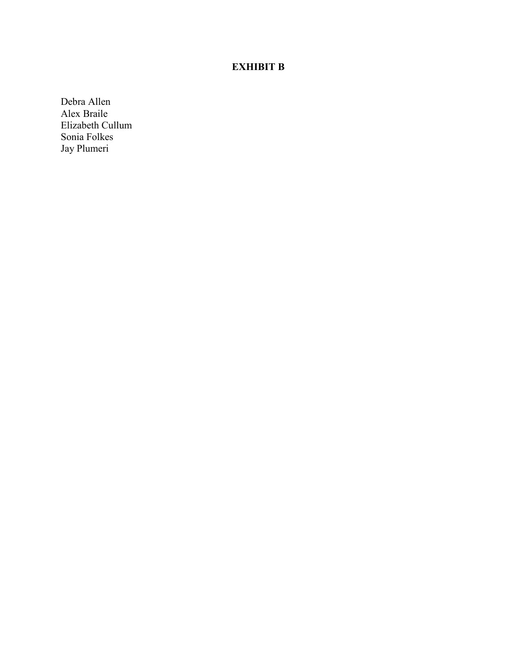## **EXHIBIT B**

Debra Allen Alex Braile Elizabeth Cullum Sonia Folkes Jay Plumeri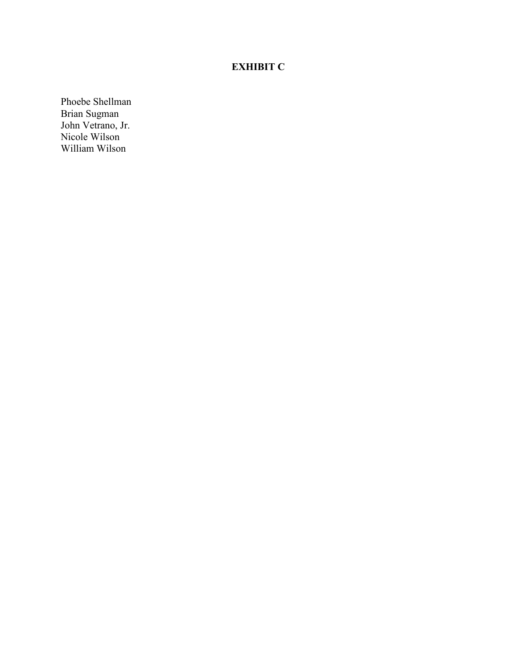## **EXHIBIT C**

Phoebe Shellman Brian Sugman John Vetrano, Jr. Nicole Wilson William Wilson